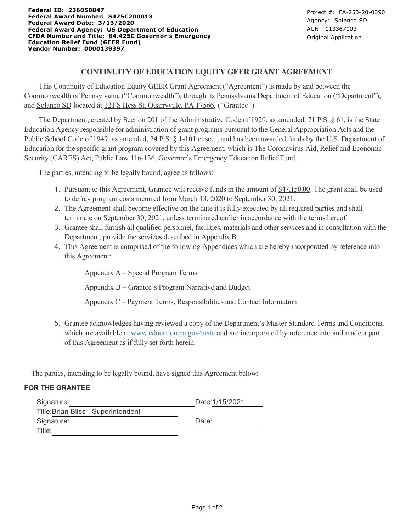# **CONTINUITY OF EDUCATION EQUITY GEER GRANT AGREEMENT**

 This Continuity of Education Equity GEER Grant Agreement ("Agreement") is made by and between the Commonwealth of Pennsylvania ("Commonwealth"), through its Pennsylvania Department of Education ("Department"), and Solanco SD located at 121 S Hess St, Quarryville, PA 17566, ("Grantee").

 The Department, created by Section 201 of the Administrative Code of 1929, as amended, 71 P.S. § 61, is the State Education Agency responsible for administration of grant programs pursuant to the General Appropriation Acts and the Public School Code of 1949, as amended, 24 P.S. § 1-101 et seq.; and has been awarded funds by the U.S. Department of Education for the specific grant program covered by this Agreement, which is The Coronavirus Aid, Relief and Economic Security (CARES) Act, Public Law 116-136, Governor's Emergency Education Relief Fund.

The parties, intending to be legally bound, agree as follows:

- 1. Pursuant to this Agreement, Grantee will receive funds in the amount of \$47,150.00. The grant shall be used to defray program costs incurred from March 13, 2020 to September 30, 2021.
- 2. The Agreement shall become effective on the date it is fully executed by all required parties and shall terminate on September 30, 2021, unless terminated earlier in accordance with the terms hereof.
- 3. Grantee shall furnish all qualified personnel, facilities, materials and other services and in consultation with the Department, provide the services described in Appendix B.
- 4. This Agreement is comprised of the following Appendices which are hereby incorporated by reference into this Agreement:

Appendix A – Special Program Terms

Appendix B – Grantee's Program Narrative and Budget

Appendix C – Payment Terms, Responsibilities and Contact Information

5. Grantee acknowledges having reviewed a copy of the Department's Master Standard Terms and Conditions, which are available at [www.education.pa.gov/mstc](http://www.education.pa.gov/mstc) and are incorporated by reference into and made a part of this Agreement as if fully set forth herein.

The parties, intending to be legally bound, have signed this Agreement below:

#### **FOR THE GRANTEE**

| Date: 1/15/2021 |
|-----------------|
|                 |
| Date:           |
|                 |
|                 |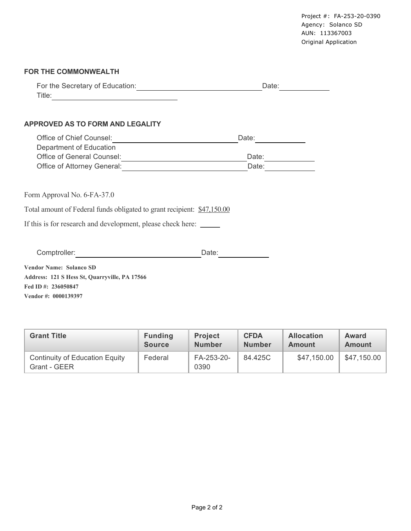#### **FOR THE COMMONWEALTH**

| For the Secretary of Education: | Date: |
|---------------------------------|-------|
| Title:                          |       |

### **APPROVED AS TO FORM AND LEGALITY**

| Office of Chief Counsel:    | Date: |
|-----------------------------|-------|
| Department of Education     |       |
| Office of General Counsel:  | Date: |
| Office of Attorney General: | Date: |

|                                                                                                                                               |                                 |                                 |                              | Agency: Solanco SD<br>AUN: 113367003<br>Original Application | Project #: FA-253-20-0390     |  |
|-----------------------------------------------------------------------------------------------------------------------------------------------|---------------------------------|---------------------------------|------------------------------|--------------------------------------------------------------|-------------------------------|--|
| <b>FOR THE COMMONWEALTH</b>                                                                                                                   |                                 |                                 |                              |                                                              |                               |  |
|                                                                                                                                               |                                 |                                 |                              | Date:                                                        |                               |  |
| <b>APPROVED AS TO FORM AND LEGALITY</b>                                                                                                       |                                 |                                 |                              |                                                              |                               |  |
| Office of Chief Counsel: <u>Cambridge Chief Counsel:</u>                                                                                      |                                 |                                 | Date:                        |                                                              |                               |  |
| Department of Education                                                                                                                       |                                 |                                 |                              |                                                              |                               |  |
| Office of General Counsel:<br><u> Communication</u><br>Office of Attorney General: 2009                                                       |                                 |                                 | Date:<br>Date:               |                                                              |                               |  |
| Total amount of Federal funds obligated to grant recipient: \$47,150.00<br>If this is for research and development, please check here: ______ |                                 |                                 |                              |                                                              |                               |  |
| Comptroller: <u>comptroller</u>                                                                                                               |                                 | Date:                           |                              |                                                              |                               |  |
| Vendor Name: Solanco SD<br>Address: 121 S Hess St, Quarryville, PA 17566<br>Fed ID #: 236050847<br>Vendor #: 0000139397                       |                                 |                                 |                              |                                                              |                               |  |
| <b>Grant Title</b>                                                                                                                            | <b>Funding</b><br><b>Source</b> | <b>Project</b><br><b>Number</b> | <b>CFDA</b><br><b>Number</b> | <b>Allocation</b><br><b>Amount</b>                           | <b>Award</b><br><b>Amount</b> |  |
| <b>Continuity of Education Equity</b><br>Grant - GEER                                                                                         | Federal                         | FA-253-20-<br>0390              | 84.425C                      | \$47,150.00                                                  | \$47,150.00                   |  |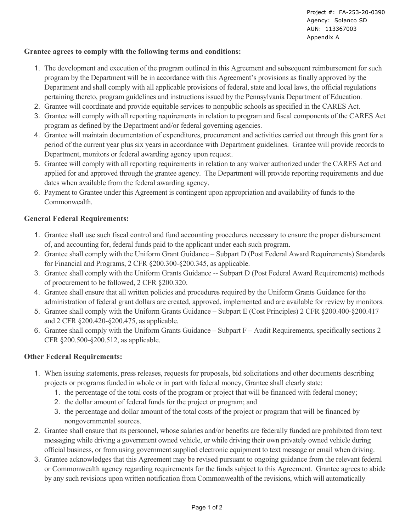# **Grantee agrees to comply with the following terms and conditions:**

- 1. The development and execution of the program outlined in this Agreement and subsequent reimbursement for such program by the Department will be in accordance with this Agreement's provisions as finally approved by the Department and shall comply with all applicable provisions of federal, state and local laws, the official regulations pertaining thereto, program guidelines and instructions issued by the Pennsylvania Department of Education.
- 2. Grantee will coordinate and provide equitable services to nonpublic schools as specified in the CARES Act.
- 3. Grantee will comply with all reporting requirements in relation to program and fiscal components of the CARES Act program as defined by the Department and/or federal governing agencies.
- 4. Grantee will maintain documentation of expenditures, procurement and activities carried out through this grant for a period of the current year plus six years in accordance with Department guidelines. Grantee will provide records to Department, monitors or federal awarding agency upon request.
- 5. Grantee will comply with all reporting requirements in relation to any waiver authorized under the CARES Act and applied for and approved through the grantee agency. The Department will provide reporting requirements and due dates when available from the federal awarding agency.
- 6. Payment to Grantee under this Agreement is contingent upon appropriation and availability of funds to the Commonwealth.

# **General Federal Requirements:**

- 1. Grantee shall use such fiscal control and fund accounting procedures necessary to ensure the proper disbursement of, and accounting for, federal funds paid to the applicant under each such program.
- 2. Grantee shall comply with the Uniform Grant Guidance Subpart D (Post Federal Award Requirements) Standards for Financial and Programs, 2 CFR §200.300-§200.345, as applicable.
- 3. Grantee shall comply with the Uniform Grants Guidance -- Subpart D (Post Federal Award Requirements) methods of procurement to be followed, 2 CFR §200.320.
- 4. Grantee shall ensure that all written policies and procedures required by the Uniform Grants Guidance for the administration of federal grant dollars are created, approved, implemented and are available for review by monitors.
- 5. Grantee shall comply with the Uniform Grants Guidance Subpart E (Cost Principles) 2 CFR §200.400-§200.417 and 2 CFR §200.420-§200.475, as applicable.
- 6. Grantee shall comply with the Uniform Grants Guidance Subpart  $F -$  Audit Requirements, specifically sections 2 CFR §200.500-§200.512, as applicable.

# **Other Federal Requirements:**

- 1. When issuing statements, press releases, requests for proposals, bid solicitations and other documents describing projects or programs funded in whole or in part with federal money, Grantee shall clearly state:
	- 1. the percentage of the total costs of the program or project that will be financed with federal money;
	- 2. the dollar amount of federal funds for the project or program; and
	- 3. the percentage and dollar amount of the total costs of the project or program that will be financed by nongovernmental sources.
- 2. Grantee shall ensure that its personnel, whose salaries and/or benefits are federally funded are prohibited from text messaging while driving a government owned vehicle, or while driving their own privately owned vehicle during official business, or from using government supplied electronic equipment to text message or email when driving.
- 3. Grantee acknowledges that this Agreement may be revised pursuant to ongoing guidance from the relevant federal or Commonwealth agency regarding requirements for the funds subject to this Agreement. Grantee agrees to abide by any such revisions upon written notification from Commonwealth of the revisions, which will automatically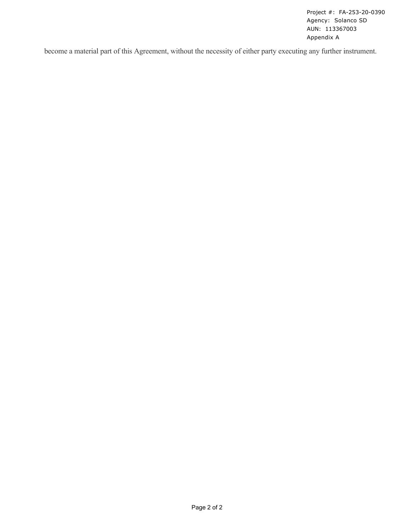Project #: FA-253-20-0390 Agency: Solanco SD AUN: 113367003 Appendix A

become a material part of this Agreement, without the necessity of either party executing any further instrument.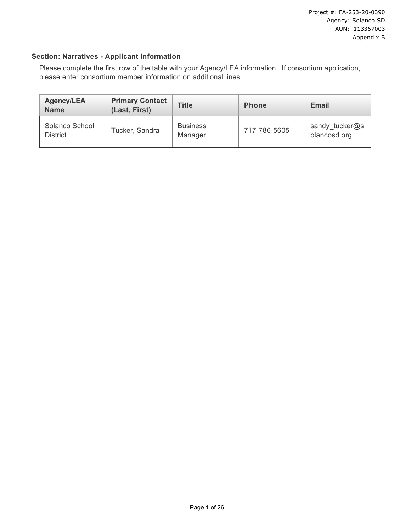# **Section: Narratives - Applicant Information**

Please complete the first row of the table with your Agency/LEA information. If consortium application, please enter consortium member information on additional lines.

| <b>Agency/LEA</b><br><b>Name</b>  | <b>Primary Contact</b><br>(Last, First) | <b>Title</b>               | <b>Phone</b> | <b>Email</b>                   |
|-----------------------------------|-----------------------------------------|----------------------------|--------------|--------------------------------|
| Solanco School<br><b>District</b> | Tucker, Sandra                          | <b>Business</b><br>Manager | 717-786-5605 | sandy_tucker@s<br>olancosd.org |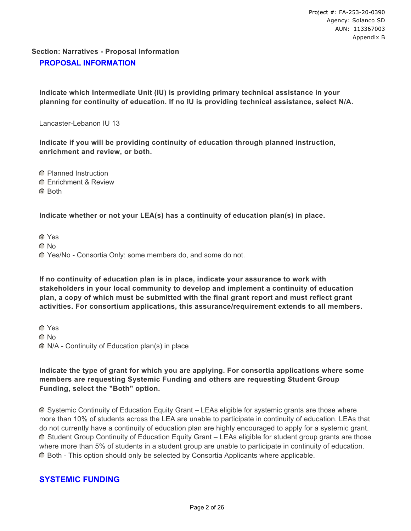# **Section: Narratives - Proposal Information PROPOSAL INFORMATION**

**Indicate which Intermediate Unit (IU) is providing primary technical assistance in your planning for continuity of education. If no IU is providing technical assistance, select N/A.**

Lancaster-Lebanon IU 13

**Indicate if you will be providing continuity of education through planned instruction, enrichment and review, or both.**

- **C** Planned Instruction
- **C** Fnrichment & Review
- G Roth

# **Indicate whether or not your LEA(s) has a continuity of education plan(s) in place.**

Yes

- C No
- Yes/No Consortia Only: some members do, and some do not.

**If no continuity of education plan is in place, indicate your assurance to work with stakeholders in your local community to develop and implement a continuity of education plan, a copy of which must be submitted with the final grant report and must reflect grant activities. For consortium applications, this assurance/requirement extends to all members.**

**C** Yes  $\cap$  No N/A - Continuity of Education plan(s) in place

# **Indicate the type of grant for which you are applying. For consortia applications where some members are requesting Systemic Funding and others are requesting Student Group Funding, select the "Both" option.**

 Systemic Continuity of Education Equity Grant – LEAs eligible for systemic grants are those where more than 10% of students across the LEA are unable to participate in continuity of education. LEAs that do not currently have a continuity of education plan are highly encouraged to apply for a systemic grant. Student Group Continuity of Education Equity Grant – LEAs eligible for student group grants are those where more than 5% of students in a student group are unable to participate in continuity of education. Both - This option should only be selected by Consortia Applicants where applicable.

# **SYSTEMIC FUNDING**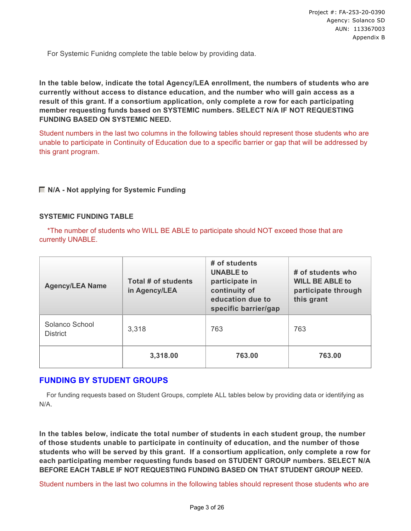For Systemic Funidng complete the table below by providing data.

**In the table below, indicate the total Agency/LEA enrollment, the numbers of students who are currently without access to distance education, and the number who will gain access as a result of this grant. If a consortium application, only complete a row for each participating member requesting funds based on SYSTEMIC numbers. SELECT N/A IF NOT REQUESTING FUNDING BASED ON SYSTEMIC NEED.** 

Student numbers in the last two columns in the following tables should represent those students who are unable to participate in Continuity of Education due to a specific barrier or gap that will be addressed by this grant program.

# **N/A - Not applying for Systemic Funding**

### **SYSTEMIC FUNDING TABLE**

\*The number of students who WILL BE ABLE to participate should NOT exceed those that are currently UNABLE.

| <b>Agency/LEA Name</b>            | Total # of students<br>in Agency/LEA | # of students<br><b>UNABLE to</b><br>participate in<br>continuity of<br>education due to<br>specific barrier/gap | # of students who<br><b>WILL BE ABLE to</b><br>participate through<br>this grant |
|-----------------------------------|--------------------------------------|------------------------------------------------------------------------------------------------------------------|----------------------------------------------------------------------------------|
| Solanco School<br><b>District</b> | 3,318                                | 763                                                                                                              | 763                                                                              |
|                                   | 3,318.00                             | 763.00                                                                                                           | 763.00                                                                           |

# **FUNDING BY STUDENT GROUPS**

 For funding requests based on Student Groups, complete ALL tables below by providing data or identifying as N/A.

**In the tables below, indicate the total number of students in each student group, the number of those students unable to participate in continuity of education, and the number of those students who will be served by this grant. If a consortium application, only complete a row for each participating member requesting funds based on STUDENT GROUP numbers. SELECT N/A BEFORE EACH TABLE IF NOT REQUESTING FUNDING BASED ON THAT STUDENT GROUP NEED.**

Student numbers in the last two columns in the following tables should represent those students who are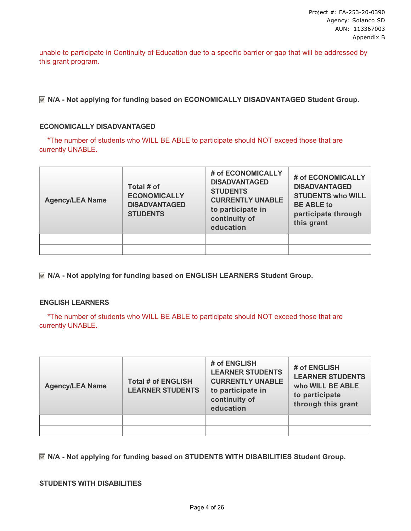unable to participate in Continuity of Education due to a specific barrier or gap that will be addressed by this grant program.

**N/A - Not applying for funding based on ECONOMICALLY DISADVANTAGED Student Group.**

#### **ECONOMICALLY DISADVANTAGED**

\*The number of students who WILL BE ABLE to participate should NOT exceed those that are currently UNABLE.

| <b>Agency/LEA Name</b> | Total # of<br><b>ECONOMICALLY</b><br><b>DISADVANTAGED</b><br><b>STUDENTS</b> | # of ECONOMICALLY<br><b>DISADVANTAGED</b><br><b>STUDENTS</b><br><b>CURRENTLY UNABLE</b><br>to participate in<br>continuity of<br>education | # of ECONOMICALLY<br><b>DISADVANTAGED</b><br><b>STUDENTS who WILL</b><br><b>BE ABLE to</b><br>participate through<br>this grant |
|------------------------|------------------------------------------------------------------------------|--------------------------------------------------------------------------------------------------------------------------------------------|---------------------------------------------------------------------------------------------------------------------------------|
|                        |                                                                              |                                                                                                                                            |                                                                                                                                 |
|                        |                                                                              |                                                                                                                                            |                                                                                                                                 |

**N/A - Not applying for funding based on ENGLISH LEARNERS Student Group.**

#### **ENGLISH LEARNERS**

\*The number of students who WILL BE ABLE to participate should NOT exceed those that are currently UNABLE.

| <b>Agency/LEA Name</b> | <b>Total # of ENGLISH</b><br><b>LEARNER STUDENTS</b> | # of ENGLISH<br><b>LEARNER STUDENTS</b><br><b>CURRENTLY UNABLE</b><br>to participate in<br>continuity of<br>education | # of ENGLISH<br><b>LEARNER STUDENTS</b><br>who WILL BE ABLE<br>to participate<br>through this grant |
|------------------------|------------------------------------------------------|-----------------------------------------------------------------------------------------------------------------------|-----------------------------------------------------------------------------------------------------|
|                        |                                                      |                                                                                                                       |                                                                                                     |
|                        |                                                      |                                                                                                                       |                                                                                                     |

**N/A - Not applying for funding based on STUDENTS WITH DISABILITIES Student Group.**

#### **STUDENTS WITH DISABILITIES**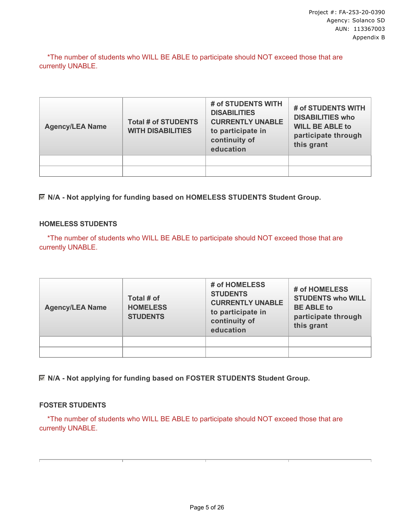\*The number of students who WILL BE ABLE to participate should NOT exceed those that are currently UNABLE.

| <b>Agency/LEA Name</b> | <b>Total # of STUDENTS</b><br><b>WITH DISABILITIES</b> | # of STUDENTS WITH<br><b>DISABILITIES</b><br><b>CURRENTLY UNABLE</b><br>to participate in<br>continuity of<br>education | # of STUDENTS WITH<br><b>DISABILITIES who</b><br><b>WILL BE ABLE to</b><br>participate through<br>this grant |
|------------------------|--------------------------------------------------------|-------------------------------------------------------------------------------------------------------------------------|--------------------------------------------------------------------------------------------------------------|
|                        |                                                        |                                                                                                                         |                                                                                                              |
|                        |                                                        |                                                                                                                         |                                                                                                              |

**N/A - Not applying for funding based on HOMELESS STUDENTS Student Group.**

### **HOMELESS STUDENTS**

\*The number of students who WILL BE ABLE to participate should NOT exceed those that are currently UNABLE.

| <b>Agency/LEA Name</b> | Total # of<br><b>HOMELESS</b><br><b>STUDENTS</b> | # of HOMELESS<br><b>STUDENTS</b><br><b>CURRENTLY UNABLE</b><br>to participate in<br>continuity of<br>education | # of HOMELESS<br><b>STUDENTS who WILL</b><br><b>BE ABLE to</b><br>participate through<br>this grant |
|------------------------|--------------------------------------------------|----------------------------------------------------------------------------------------------------------------|-----------------------------------------------------------------------------------------------------|
|                        |                                                  |                                                                                                                |                                                                                                     |
|                        |                                                  |                                                                                                                |                                                                                                     |

**N/A - Not applying for funding based on FOSTER STUDENTS Student Group.**

#### **FOSTER STUDENTS**

\*The number of students who WILL BE ABLE to participate should NOT exceed those that are currently UNABLE.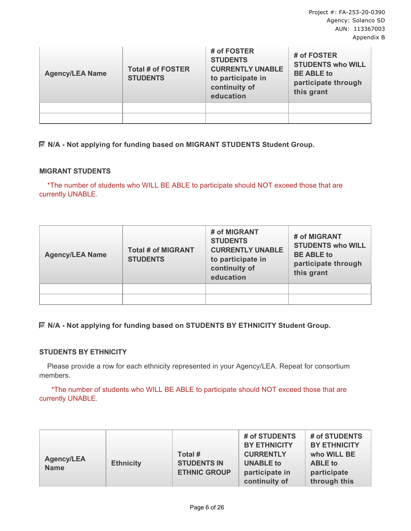| <b>Agency/LEA Name</b> | <b>Total # of FOSTER</b><br><b>STUDENTS</b> | # of FOSTER<br><b>STUDENTS</b><br><b>CURRENTLY UNABLE</b><br>to participate in<br>continuity of<br>education | # of FOSTER<br><b>STUDENTS who WILL</b><br><b>BE ABLE to</b><br>participate through<br>this grant |
|------------------------|---------------------------------------------|--------------------------------------------------------------------------------------------------------------|---------------------------------------------------------------------------------------------------|
|                        |                                             |                                                                                                              |                                                                                                   |
|                        |                                             |                                                                                                              |                                                                                                   |

**N/A - Not applying for funding based on MIGRANT STUDENTS Student Group.**

#### **MIGRANT STUDENTS**

\*The number of students who WILL BE ABLE to participate should NOT exceed those that are currently UNABLE.

| <b>Agency/LEA Name</b> | <b>Total # of MIGRANT</b><br><b>STUDENTS</b> | # of MIGRANT<br><b>STUDENTS</b><br><b>CURRENTLY UNABLE</b><br>to participate in<br>continuity of<br>education | # of MIGRANT<br><b>STUDENTS who WILL</b><br><b>BE ABLE to</b><br>participate through<br>this grant |
|------------------------|----------------------------------------------|---------------------------------------------------------------------------------------------------------------|----------------------------------------------------------------------------------------------------|
|                        |                                              |                                                                                                               |                                                                                                    |
|                        |                                              |                                                                                                               |                                                                                                    |

# **N/A - Not applying for funding based on STUDENTS BY ETHNICITY Student Group.**

# **STUDENTS BY ETHNICITY**

 Please provide a row for each ethnicity represented in your Agency/LEA. Repeat for consortium members.

 \*The number of students who WILL BE ABLE to participate should NOT exceed those that are currently UNABLE.

| Total #<br><b>Agency/LEA</b><br><b>STUDENTS IN</b><br><b>Ethnicity</b><br><b>Name</b><br><b>ETHNIC GROUP</b> | # of STUDENTS<br># of STUDENTS<br><b>BY ETHNICITY</b><br><b>BY ETHNICITY</b><br><b>CURRENTLY</b><br>who WILL BE<br><b>UNABLE to</b><br><b>ABLE</b> to<br>participate in<br>participate<br>through this<br>continuity of |
|--------------------------------------------------------------------------------------------------------------|-------------------------------------------------------------------------------------------------------------------------------------------------------------------------------------------------------------------------|
|--------------------------------------------------------------------------------------------------------------|-------------------------------------------------------------------------------------------------------------------------------------------------------------------------------------------------------------------------|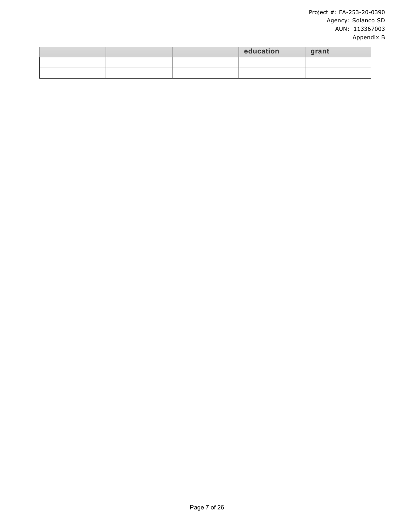### Project #: FA-253-20-0390 Agency: Solanco SD AUN: 113367003 Appendix B

|  | education | grant |
|--|-----------|-------|
|  |           |       |
|  |           |       |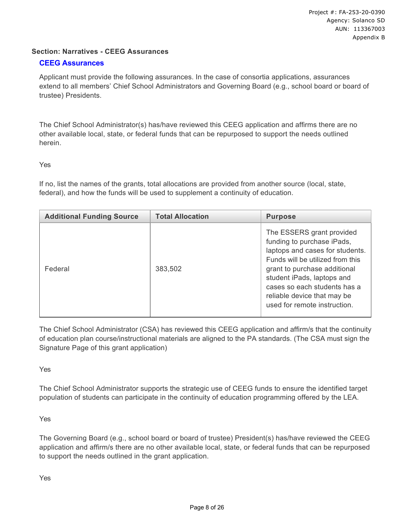### **Section: Narratives - CEEG Assurances**

#### **CEEG Assurances**

Applicant must provide the following assurances. In the case of consortia applications, assurances extend to all members' Chief School Administrators and Governing Board (e.g., school board or board of trustee) Presidents.

The Chief School Administrator(s) has/have reviewed this CEEG application and affirms there are no other available local, state, or federal funds that can be repurposed to support the needs outlined herein.

Yes

If no, list the names of the grants, total allocations are provided from another source (local, state, federal), and how the funds will be used to supplement a continuity of education.

| <b>Additional Funding Source</b> | <b>Total Allocation</b> | <b>Purpose</b>                                                                                                                                                                                                                                                                              |
|----------------------------------|-------------------------|---------------------------------------------------------------------------------------------------------------------------------------------------------------------------------------------------------------------------------------------------------------------------------------------|
| Federal                          | 383,502                 | The ESSERS grant provided<br>funding to purchase iPads,<br>laptops and cases for students.<br>Funds will be utilized from this<br>grant to purchase additional<br>student iPads, laptops and<br>cases so each students has a<br>reliable device that may be<br>used for remote instruction. |

The Chief School Administrator (CSA) has reviewed this CEEG application and affirm/s that the continuity of education plan course/instructional materials are aligned to the PA standards. (The CSA must sign the Signature Page of this grant application)

Yes

The Chief School Administrator supports the strategic use of CEEG funds to ensure the identified target population of students can participate in the continuity of education programming offered by the LEA.

Yes

The Governing Board (e.g., school board or board of trustee) President(s) has/have reviewed the CEEG application and affirm/s there are no other available local, state, or federal funds that can be repurposed to support the needs outlined in the grant application.

Yes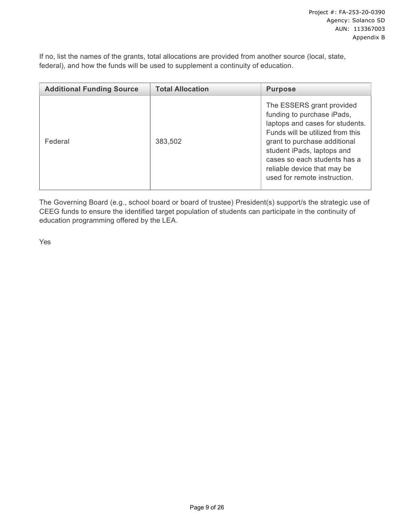If no, list the names of the grants, total allocations are provided from another source (local, state, federal), and how the funds will be used to supplement a continuity of education.

| <b>Additional Funding Source</b> | <b>Total Allocation</b> | <b>Purpose</b>                                                                                                                                                                                                                                                                              |
|----------------------------------|-------------------------|---------------------------------------------------------------------------------------------------------------------------------------------------------------------------------------------------------------------------------------------------------------------------------------------|
| Federal                          | 383,502                 | The ESSERS grant provided<br>funding to purchase iPads,<br>laptops and cases for students.<br>Funds will be utilized from this<br>grant to purchase additional<br>student iPads, laptops and<br>cases so each students has a<br>reliable device that may be<br>used for remote instruction. |

The Governing Board (e.g., school board or board of trustee) President(s) support/s the strategic use of CEEG funds to ensure the identified target population of students can participate in the continuity of education programming offered by the LEA.

Yes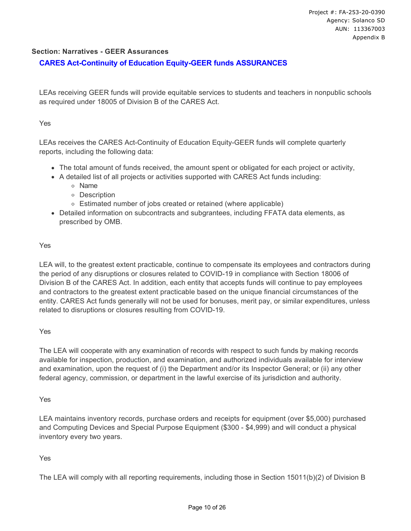#### **Section: Narratives - GEER Assurances**

# **CARES Act-Continuity of Education Equity-GEER funds ASSURANCES**

LEAs receiving GEER funds will provide equitable services to students and teachers in nonpublic schools as required under 18005 of Division B of the CARES Act.

#### Yes

LEAs receives the CARES Act-Continuity of Education Equity-GEER funds will complete quarterly reports, including the following data:

- The total amount of funds received, the amount spent or obligated for each project or activity,
- A detailed list of all projects or activities supported with CARES Act funds including:
	- Name
	- Description
	- Estimated number of jobs created or retained (where applicable)
- Detailed information on subcontracts and subgrantees, including FFATA data elements, as prescribed by OMB.

#### Yes

LEA will, to the greatest extent practicable, continue to compensate its employees and contractors during the period of any disruptions or closures related to COVID-19 in compliance with Section 18006 of Division B of the CARES Act. In addition, each entity that accepts funds will continue to pay employees and contractors to the greatest extent practicable based on the unique financial circumstances of the entity. CARES Act funds generally will not be used for bonuses, merit pay, or similar expenditures, unless related to disruptions or closures resulting from COVID-19.

Yes

The LEA will cooperate with any examination of records with respect to such funds by making records available for inspection, production, and examination, and authorized individuals available for interview and examination, upon the request of (i) the Department and/or its Inspector General; or (ii) any other federal agency, commission, or department in the lawful exercise of its jurisdiction and authority.

#### Yes

LEA maintains inventory records, purchase orders and receipts for equipment (over \$5,000) purchased and Computing Devices and Special Purpose Equipment (\$300 - \$4,999) and will conduct a physical inventory every two years.

#### Yes

The LEA will comply with all reporting requirements, including those in Section 15011(b)(2) of Division B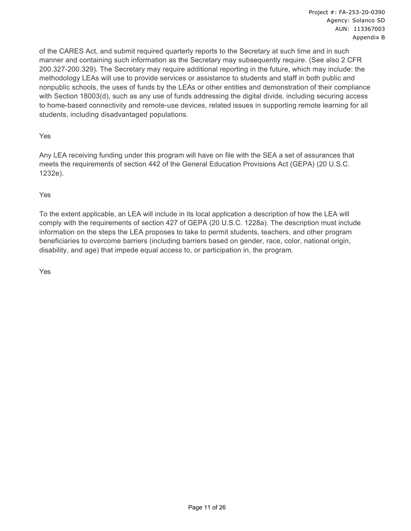of the CARES Act, and submit required quarterly reports to the Secretary at such time and in such manner and containing such information as the Secretary may subsequently require. (See also 2 CFR 200.327-200.329). The Secretary may require additional reporting in the future, which may include: the methodology LEAs will use to provide services or assistance to students and staff in both public and nonpublic schools, the uses of funds by the LEAs or other entities and demonstration of their compliance with Section 18003(d), such as any use of funds addressing the digital divide, including securing access to home-based connectivity and remote-use devices, related issues in supporting remote learning for all students, including disadvantaged populations.

Yes

Any LEA receiving funding under this program will have on file with the SEA a set of assurances that meets the requirements of section 442 of the General Education Provisions Act (GEPA) (20 U.S.C. 1232e).

Yes

To the extent applicable, an LEA will include in its local application a description of how the LEA will comply with the requirements of section 427 of GEPA (20 U.S.C. 1228a). The description must include information on the steps the LEA proposes to take to permit students, teachers, and other program beneficiaries to overcome barriers (including barriers based on gender, race, color, national origin, disability, and age) that impede equal access to, or participation in, the program.

Yes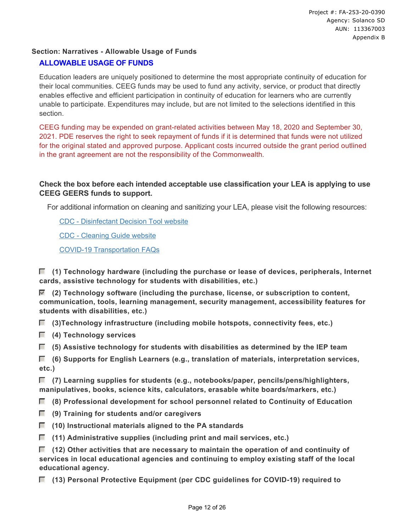# **Section: Narratives - Allowable Usage of Funds**

# **ALLOWABLE USAGE OF FUNDS**

Education leaders are uniquely positioned to determine the most appropriate continuity of education for their local communities. CEEG funds may be used to fund any activity, service, or product that directly enables effective and efficient participation in continuity of education for learners who are currently unable to participate. Expenditures may include, but are not limited to the selections identified in this section.

CEEG funding may be expended on grant-related activities between May 18, 2020 and September 30, 2021. PDE reserves the right to seek repayment of funds if it is determined that funds were not utilized for the original stated and approved purpose. Applicant costs incurred outside the grant period outlined in the grant agreement are not the responsibility of the Commonwealth.

# **Check the box before each intended acceptable use classification your LEA is applying to use CEEG GEERS funds to support.**

For additional information on cleaning and sanitizing your LEA, please visit the following resources:

[CDC - Disinfectant Decision Tool website](https://www.cdc.gov/coronavirus/2019-ncov/community/pdf/ReOpening_America_Cleaning_Disinfection_Decision_Tool.pdf)

[CDC - Cleaning Guide website](https://www.cdc.gov/coronavirus/2019-ncov/community/disinfecting-building-facility.html)

[COVID-19 Transportation FAQs](http://www.education.pa.gov/Schools/safeschools/emergencyplanning/COVID-19/20-21FAQs/Pages/default.aspx)

 **(1) Technology hardware (including the purchase or lease of devices, peripherals, Internet cards, assistive technology for students with disabilities, etc.)**

 **(2) Technology software (including the purchase, license, or subscription to content, communication, tools, learning management, security management, accessibility features for students with disabilities, etc.)**

 **(3)Technology infrastructure (including mobile hotspots, connectivity fees, etc.)**

- **(4) Technology services**
- **(5) Assistive technology for students with disabilities as determined by the IEP team**

 **(6) Supports for English Learners (e.g., translation of materials, interpretation services, etc.)**

 **(7) Learning supplies for students (e.g., notebooks/paper, pencils/pens/highlighters, manipulatives, books, science kits, calculators, erasable white boards/markers, etc.)**

 **(8) Professional development for school personnel related to Continuity of Education**

- **(9) Training for students and/or caregivers**
- **(10) Instructional materials aligned to the PA standards**
- **(11) Administrative supplies (including print and mail services, etc.)**

 **(12) Other activities that are necessary to maintain the operation of and continuity of services in local educational agencies and continuing to employ existing staff of the local educational agency.**

 **(13) Personal Protective Equipment (per CDC guidelines for COVID-19) required to**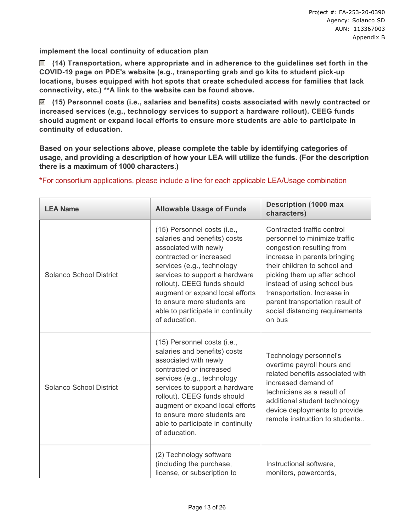**implement the local continuity of education plan**

 **(14) Transportation, where appropriate and in adherence to the guidelines set forth in the COVID-19 page on PDE's website (e.g., transporting grab and go kits to student pick-up locations, buses equipped with hot spots that create scheduled access for families that lack connectivity, etc.) \*\*A link to the website can be found above.**

 **(15) Personnel costs (i.e., salaries and benefits) costs associated with newly contracted or increased services (e.g., technology services to support a hardware rollout). CEEG funds should augment or expand local efforts to ensure more students are able to participate in continuity of education.**

**Based on your selections above, please complete the table by identifying categories of usage, and providing a description of how your LEA will utilize the funds. (For the description there is a maximum of 1000 characters.)**

| <b>LEA Name</b>         | <b>Allowable Usage of Funds</b>                                                                                                                                                                                                                                                                                                        | <b>Description (1000 max</b><br>characters)                                                                                                                                                                                                                                                                                           |
|-------------------------|----------------------------------------------------------------------------------------------------------------------------------------------------------------------------------------------------------------------------------------------------------------------------------------------------------------------------------------|---------------------------------------------------------------------------------------------------------------------------------------------------------------------------------------------------------------------------------------------------------------------------------------------------------------------------------------|
| Solanco School District | (15) Personnel costs (i.e.,<br>salaries and benefits) costs<br>associated with newly<br>contracted or increased<br>services (e.g., technology<br>services to support a hardware<br>rollout). CEEG funds should<br>augment or expand local efforts<br>to ensure more students are<br>able to participate in continuity<br>of education. | Contracted traffic control<br>personnel to minimize traffic<br>congestion resulting from<br>increase in parents bringing<br>their children to school and<br>picking them up after school<br>instead of using school bus<br>transportation. Increase in<br>parent transportation result of<br>social distancing requirements<br>on bus |
| Solanco School District | (15) Personnel costs (i.e.,<br>salaries and benefits) costs<br>associated with newly<br>contracted or increased<br>services (e.g., technology<br>services to support a hardware<br>rollout). CEEG funds should<br>augment or expand local efforts<br>to ensure more students are<br>able to participate in continuity<br>of education. | Technology personnel's<br>overtime payroll hours and<br>related benefits associated with<br>increased demand of<br>technicians as a result of<br>additional student technology<br>device deployments to provide<br>remote instruction to students                                                                                     |
|                         | (2) Technology software<br>(including the purchase,<br>license, or subscription to                                                                                                                                                                                                                                                     | Instructional software,<br>monitors, powercords,                                                                                                                                                                                                                                                                                      |

**\***For consortium applications, please include a line for each applicable LEA/Usage combination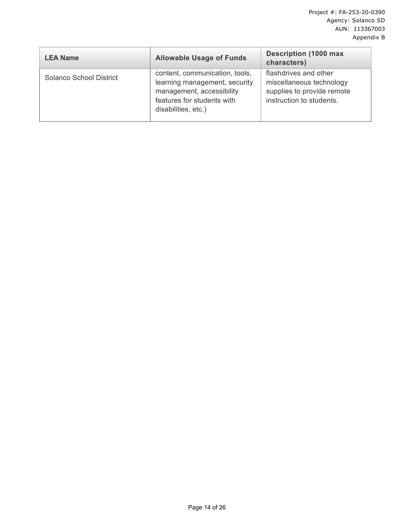| <b>LEA Name</b>         | <b>Allowable Usage of Funds</b>                                                                                                                   | <b>Description (1000 max</b><br>characters)                                                                 |
|-------------------------|---------------------------------------------------------------------------------------------------------------------------------------------------|-------------------------------------------------------------------------------------------------------------|
| Solanco School District | content, communication, tools,<br>learning management, security<br>management, accessibility<br>features for students with<br>disabilities, etc.) | flashdrives and other<br>miscellaneous technology<br>supplies to provide remote<br>instruction to students. |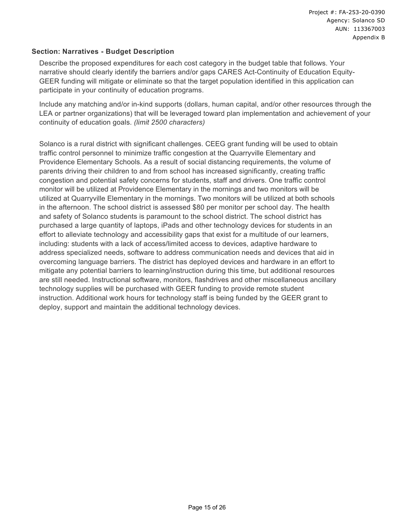### **Section: Narratives - Budget Description**

Describe the proposed expenditures for each cost category in the budget table that follows. Your narrative should clearly identify the barriers and/or gaps CARES Act-Continuity of Education Equity-GEER funding will mitigate or eliminate so that the target population identified in this application can participate in your continuity of education programs.

Include any matching and/or in-kind supports (dollars, human capital, and/or other resources through the LEA or partner organizations) that will be leveraged toward plan implementation and achievement of your continuity of education goals. *(limit 2500 characters)*

Solanco is a rural district with significant challenges. CEEG grant funding will be used to obtain traffic control personnel to minimize traffic congestion at the Quarryville Elementary and Providence Elementary Schools. As a result of social distancing requirements, the volume of parents driving their children to and from school has increased significantly, creating traffic congestion and potential safety concerns for students, staff and drivers. One traffic control monitor will be utilized at Providence Elementary in the mornings and two monitors will be utilized at Quarryville Elementary in the mornings. Two monitors will be utilized at both schools in the afternoon. The school district is assessed \$80 per monitor per school day. The health and safety of Solanco students is paramount to the school district. The school district has purchased a large quantity of laptops, iPads and other technology devices for students in an effort to alleviate technology and accessibility gaps that exist for a multitude of our learners, including: students with a lack of access/limited access to devices, adaptive hardware to address specialized needs, software to address communication needs and devices that aid in overcoming language barriers. The district has deployed devices and hardware in an effort to mitigate any potential barriers to learning/instruction during this time, but additional resources are still needed. Instructional software, monitors, flashdrives and other miscellaneous ancillary technology supplies will be purchased with GEER funding to provide remote student instruction. Additional work hours for technology staff is being funded by the GEER grant to deploy, support and maintain the additional technology devices.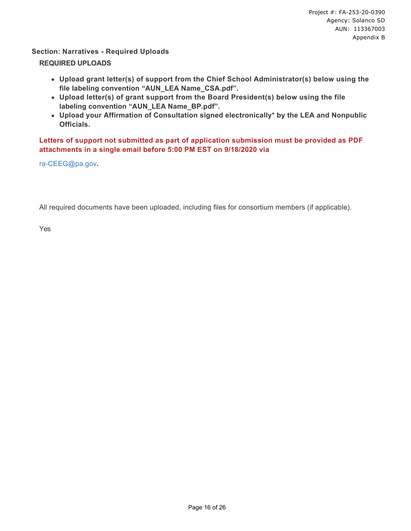### **Section: Narratives - Required Uploads**

#### **REQUIRED UPLOADS**

- **Upload grant letter(s) of support from the Chief School Administrator(s) below using the file labeling convention "AUN\_LEA Name\_CSA.pdf".**
- **Upload letter(s) of grant support from the Board President(s) below using the file labeling convention "AUN\_LEA Name\_BP.pdf".**
- **Upload your Affirmation of Consultation signed electronically\* by the LEA and Nonpublic Officials.**

**Letters of support not submitted as part of application submission must be provided as PDF attachments in a single email before 5:00 PM EST on 9/18/2020 via**

[ra-CEEG@pa.gov](mailto:ra-CEEG@pa.gov?subject=CEEG%20Letter%20of%20Support&body=Please%20attach%20letter(s)%20of%20support%20for%20your%20application,%20and%20add%20your%20Agency/LEA%20Name%20to%20the%20subject.)**.**

All required documents have been uploaded, including files for consortium members (if applicable).

Yes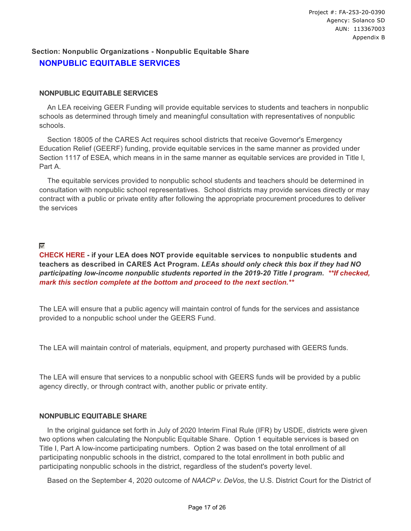# **Section: Nonpublic Organizations - Nonpublic Equitable Share NONPUBLIC EQUITABLE SERVICES**

#### **NONPUBLIC EQUITABLE SERVICES**

 An LEA receiving GEER Funding will provide equitable services to students and teachers in nonpublic schools as determined through timely and meaningful consultation with representatives of nonpublic schools.

 Section 18005 of the CARES Act requires school districts that receive Governor's Emergency Education Relief (GEERF) funding, provide equitable services in the same manner as provided under Section 1117 of ESEA, which means in in the same manner as equitable services are provided in Title I, Part A.

 The equitable services provided to nonpublic school students and teachers should be determined in consultation with nonpublic school representatives. School districts may provide services directly or may contract with a public or private entity after following the appropriate procurement procedures to deliver the services

### $\overline{\mathbf{v}}$

**CHECK HERE - if your LEA does NOT provide equitable services to nonpublic students and teachers as described in CARES Act Program.** *LEAs should only check this box if they had NO participating low-income nonpublic students reported in the 2019-20 Title I program***.** *\*\*If checked, mark this section complete at the bottom and proceed to the next section.\*\**

The LEA will ensure that a public agency will maintain control of funds for the services and assistance provided to a nonpublic school under the GEERS Fund.

The LEA will maintain control of materials, equipment, and property purchased with GEERS funds.

The LEA will ensure that services to a nonpublic school with GEERS funds will be provided by a public agency directly, or through contract with, another public or private entity.

#### **NONPUBLIC EQUITABLE SHARE**

 In the original guidance set forth in July of 2020 Interim Final Rule (IFR) by USDE, districts were given two options when calculating the Nonpublic Equitable Share. Option 1 equitable services is based on Title I, Part A low-income participating numbers. Option 2 was based on the total enrollment of all participating nonpublic schools in the district, compared to the total enrollment in both public and participating nonpublic schools in the district, regardless of the student's poverty level.

Based on the September 4, 2020 outcome of *NAACP v. DeVos*, the U.S. District Court for the District of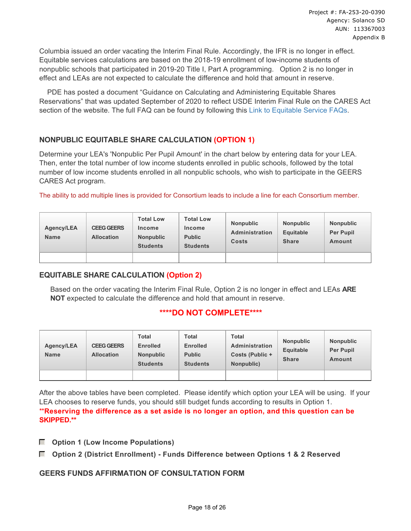Columbia issued an order vacating the Interim Final Rule. Accordingly, the IFR is no longer in effect. Equitable services calculations are based on the 2018-19 enrollment of low-income students of nonpublic schools that participated in 2019-20 Title I, Part A programming. Option 2 is no longer in effect and LEAs are not expected to calculate the difference and hold that amount in reserve.

 PDE has posted a document "Guidance on Calculating and Administering Equitable Shares Reservations" that was updated September of 2020 to reflect USDE Interim Final Rule on the CARES Act section of the website. The full FAQ can be found by following this [Link to Equitable Service FAQs.](https://www.education.pa.gov/Schools/safeschools/emergencyplanning/COVID-19/CARESAct/Pages/Equitable-Services-Reservation-Guidance.aspx)

# **NONPUBLIC EQUITABLE SHARE CALCULATION (OPTION 1)**

Determine your LEA's 'Nonpublic Per Pupil Amount' in the chart below by entering data for your LEA. Then, enter the total number of low income students enrolled in public schools, followed by the total number of low income students enrolled in all nonpublic schools, who wish to participate in the GEERS CARES Act program.

The ability to add multiple lines is provided for Consortium leads to include a line for each Consortium member.

| <b>Agency/LEA</b><br><b>Name</b> | <b>CEEG GEERS</b><br><b>Allocation</b> | <b>Total Low</b><br>Income<br><b>Nonpublic</b><br><b>Students</b> | <b>Total Low</b><br>Income<br><b>Public</b><br><b>Students</b> | <b>Nonpublic</b><br><b>Administration</b><br><b>Costs</b> | <b>Nonpublic</b><br>Equitable<br><b>Share</b> | <b>Nonpublic</b><br><b>Per Pupil</b><br><b>Amount</b> |
|----------------------------------|----------------------------------------|-------------------------------------------------------------------|----------------------------------------------------------------|-----------------------------------------------------------|-----------------------------------------------|-------------------------------------------------------|
|                                  |                                        |                                                                   |                                                                |                                                           |                                               |                                                       |

# **EQUITABLE SHARE CALCULATION (Option 2)**

Based on the order vacating the Interim Final Rule, Option 2 is no longer in effect and LEAs **ARE NOT** expected to calculate the difference and hold that amount in reserve.

# **\*\*\*\*DO NOT COMPLETE\*\*\*\***

| <b>Agency/LEA</b><br><b>Name</b> | <b>CEEG GEERS</b><br><b>Allocation</b> | Total<br><b>Enrolled</b><br><b>Nonpublic</b><br><b>Students</b> | Total<br><b>Enrolled</b><br><b>Public</b><br><b>Students</b> | <b>Total</b><br>Administration<br>Costs (Public +<br>Nonpublic) | <b>Nonpublic</b><br>Equitable<br><b>Share</b> | <b>Nonpublic</b><br>Per Pupil<br>Amount |
|----------------------------------|----------------------------------------|-----------------------------------------------------------------|--------------------------------------------------------------|-----------------------------------------------------------------|-----------------------------------------------|-----------------------------------------|
|                                  |                                        |                                                                 |                                                              |                                                                 |                                               |                                         |

After the above tables have been completed. Please identify which option your LEA will be using. If your LEA chooses to reserve funds, you should still budget funds according to results in Option 1. \*\***Reserving the difference as a set aside is no longer an option, and this question can be SKIPPED.\*\***

- **Option 1 (Low Income Populations)**
- **Option 2 (District Enrollment) Funds Difference between Options 1 & 2 Reserved**

# **GEERS FUNDS AFFIRMATION OF CONSULTATION FORM**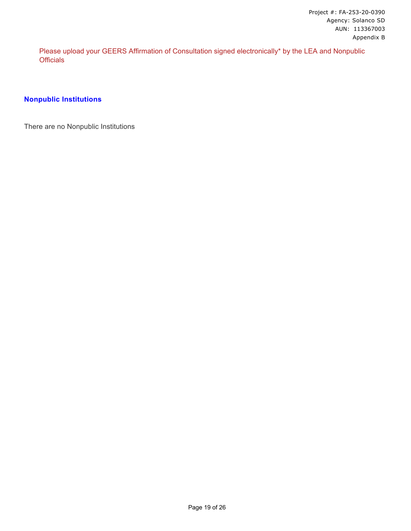Please upload your GEERS Affirmation of Consultation signed electronically\* by the LEA and Nonpublic **Officials** 

### **Nonpublic Institutions**

There are no Nonpublic Institutions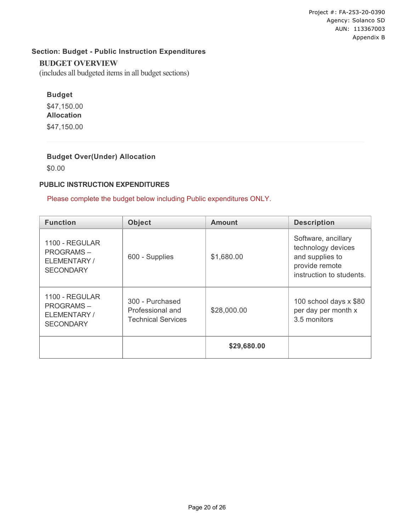Project #: FA-253-20-0390 Agency: Solanco SD AUN: 113367003 Appendix B

# **Section: Budget - Public Instruction Expenditures**

#### **BUDGET OVERVIEW**

(includes all budgeted items in all budget sections)

# **Budget**

\$47,150.00 **Allocation** \$47,150.00

# **Budget Over(Under) Allocation**

\$0.00

#### **PUBLIC INSTRUCTION EXPENDITURES**

### Please complete the budget below including Public expenditures ONLY.

| <b>Function</b>                                                        | <b>Object</b>                                                    | <b>Amount</b> | <b>Description</b>                                                                                         |
|------------------------------------------------------------------------|------------------------------------------------------------------|---------------|------------------------------------------------------------------------------------------------------------|
| 1100 - REGULAR<br><b>PROGRAMS-</b><br>ELEMENTARY /<br><b>SECONDARY</b> | 600 - Supplies                                                   | \$1,680.00    | Software, ancillary<br>technology devices<br>and supplies to<br>provide remote<br>instruction to students. |
| 1100 - REGULAR<br><b>PROGRAMS-</b><br>ELEMENTARY /<br><b>SECONDARY</b> | 300 - Purchased<br>Professional and<br><b>Technical Services</b> | \$28,000.00   | 100 school days x \$80<br>per day per month x<br>3.5 monitors                                              |
|                                                                        |                                                                  | \$29,680.00   |                                                                                                            |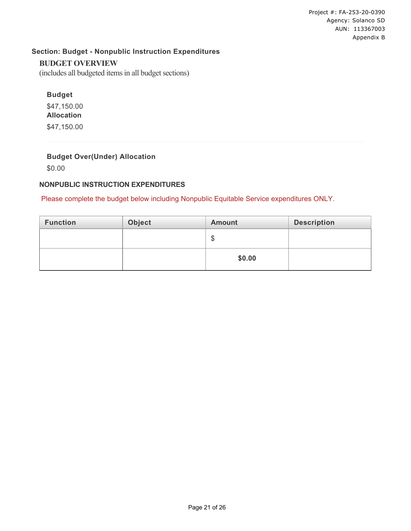# **Section: Budget - Nonpublic Instruction Expenditures**

#### **BUDGET OVERVIEW**

(includes all budgeted items in all budget sections)

# **Budget**

\$47,150.00 **Allocation** \$47,150.00

# **Budget Over(Under) Allocation**

\$0.00

### **NONPUBLIC INSTRUCTION EXPENDITURES**

#### Please complete the budget below including Nonpublic Equitable Service expenditures ONLY.

| <b>Function</b> | Object | <b>Amount</b> | <b>Description</b> |
|-----------------|--------|---------------|--------------------|
|                 |        | œ<br>۰D       |                    |
|                 |        | \$0.00        |                    |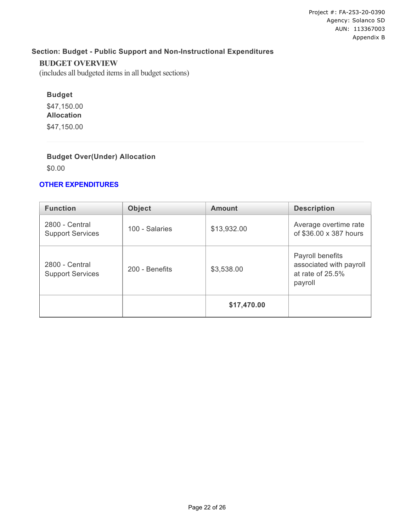# **Section: Budget - Public Support and Non-Instructional Expenditures**

#### **BUDGET OVERVIEW**

(includes all budgeted items in all budget sections)

# **Budget**

\$47,150.00 **Allocation** \$47,150.00

# **Budget Over(Under) Allocation**

\$0.00

### **OTHER EXPENDITURES**

| <b>Function</b>                           | <b>Object</b>  | <b>Amount</b> | <b>Description</b>                                                         |
|-------------------------------------------|----------------|---------------|----------------------------------------------------------------------------|
| 2800 - Central<br><b>Support Services</b> | 100 - Salaries | \$13,932.00   | Average overtime rate<br>of \$36.00 x 387 hours                            |
| 2800 - Central<br><b>Support Services</b> | 200 - Benefits | \$3,538.00    | Payroll benefits<br>associated with payroll<br>at rate of 25.5%<br>payroll |
|                                           |                | \$17,470.00   |                                                                            |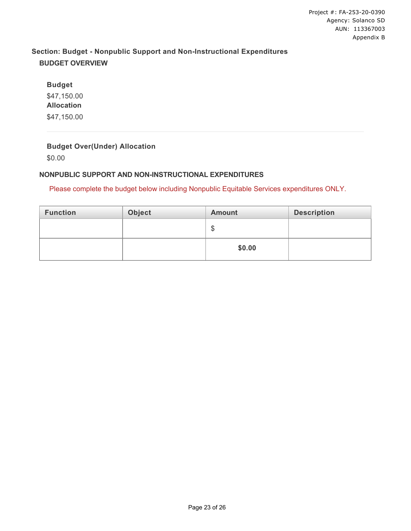# **Section: Budget - Nonpublic Support and Non-Instructional Expenditures BUDGET OVERVIEW**

**Budget** \$47,150.00 **Allocation** \$47,150.00

# **Budget Over(Under) Allocation**

\$0.00

# **NONPUBLIC SUPPORT AND NON-INSTRUCTIONAL EXPENDITURES**

Please complete the budget below including Nonpublic Equitable Services expenditures ONLY.

| <b>Function</b> | Object | <b>Amount</b> | <b>Description</b> |
|-----------------|--------|---------------|--------------------|
|                 |        | ۰D            |                    |
|                 |        | \$0.00        |                    |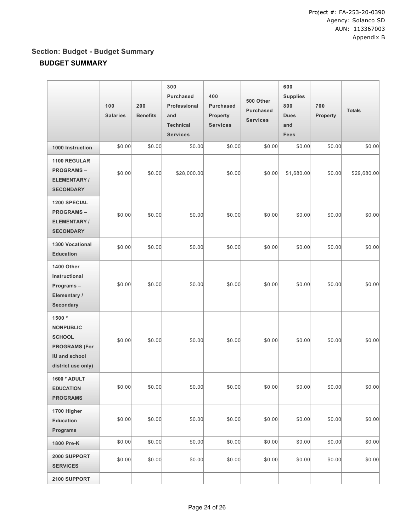# **Section: Budget - Budget Summary BUDGET SUMMARY**

|                                                                                                                   | 100<br><b>Salaries</b> | 200<br><b>Benefits</b> | 300<br><b>Purchased</b><br>Professional<br>and<br><b>Technical</b><br><b>Services</b> | 400<br><b>Purchased</b><br>Property<br><b>Services</b> | 500 Other<br><b>Purchased</b><br><b>Services</b> | 600<br><b>Supplies</b><br>800<br><b>Dues</b><br>and<br><b>Fees</b> | 700<br>Property | <b>Totals</b> |
|-------------------------------------------------------------------------------------------------------------------|------------------------|------------------------|---------------------------------------------------------------------------------------|--------------------------------------------------------|--------------------------------------------------|--------------------------------------------------------------------|-----------------|---------------|
| 1000 Instruction                                                                                                  | \$0.00                 | \$0.00                 | \$0.00                                                                                | \$0.00                                                 | \$0.00                                           | \$0.00                                                             | \$0.00          | \$0.00        |
| 1100 REGULAR<br><b>PROGRAMS-</b><br><b>ELEMENTARY/</b><br><b>SECONDARY</b>                                        | \$0.00                 | \$0.00                 | \$28,000.00                                                                           | \$0.00                                                 | \$0.00                                           | \$1,680.00                                                         | \$0.00          | \$29,680.00   |
| <b>1200 SPECIAL</b><br><b>PROGRAMS-</b><br><b>ELEMENTARY/</b><br><b>SECONDARY</b>                                 | \$0.00                 | \$0.00                 | \$0.00                                                                                | \$0.00                                                 | \$0.00                                           | \$0.00                                                             | \$0.00          | \$0.00        |
| <b>1300 Vocational</b><br><b>Education</b>                                                                        | \$0.00                 | \$0.00                 | \$0.00                                                                                | \$0.00                                                 | \$0.00                                           | \$0.00                                                             | \$0.00          | \$0.00        |
| 1400 Other<br>Instructional<br>Programs-<br>Elementary /<br>Secondary                                             | \$0.00                 | \$0.00                 | \$0.00                                                                                | \$0.00                                                 | \$0.00                                           | \$0.00                                                             | \$0.00          | \$0.00        |
| 1500 *<br><b>NONPUBLIC</b><br><b>SCHOOL</b><br><b>PROGRAMS (For</b><br><b>IU and school</b><br>district use only) | \$0.00                 | \$0.00                 | \$0.00                                                                                | \$0.00                                                 | \$0.00                                           | \$0.00                                                             | \$0.00          | \$0.00        |
| 1600 * ADULT<br><b>EDUCATION</b><br><b>PROGRAMS</b>                                                               | \$0.00                 | \$0.00                 | \$0.00                                                                                | \$0.00                                                 | \$0.00                                           | \$0.00                                                             | \$0.00          | \$0.00        |
| 1700 Higher<br><b>Education</b><br>Programs                                                                       | \$0.00                 | \$0.00                 | \$0.00                                                                                | \$0.00                                                 | \$0.00                                           | \$0.00                                                             | \$0.00          | \$0.00        |
| 1800 Pre-K                                                                                                        | \$0.00                 | \$0.00                 | \$0.00                                                                                | \$0.00                                                 | \$0.00                                           | \$0.00                                                             | \$0.00          | \$0.00        |
| 2000 SUPPORT<br><b>SERVICES</b>                                                                                   | \$0.00                 | \$0.00                 | \$0.00                                                                                | \$0.00                                                 | \$0.00                                           | \$0.00                                                             | \$0.00          | \$0.00        |
| 2100 SUPPORT                                                                                                      |                        |                        |                                                                                       |                                                        |                                                  |                                                                    |                 |               |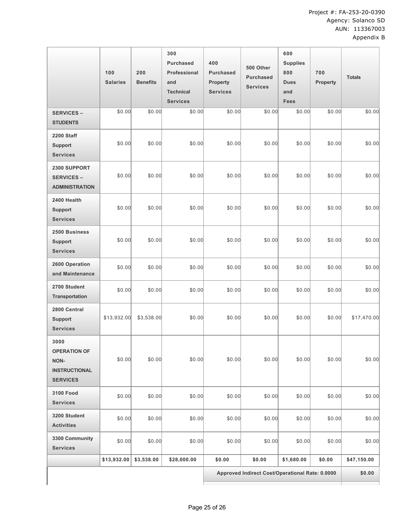|                                                                                | 100<br><b>Salaries</b> | 200<br><b>Benefits</b> | 300<br><b>Purchased</b><br>Professional<br>and<br><b>Technical</b><br><b>Services</b> | 400<br><b>Purchased</b><br><b>Property</b><br><b>Services</b> | 500 Other<br><b>Purchased</b><br><b>Services</b> | 600<br><b>Supplies</b><br>800<br><b>Dues</b><br>and<br><b>Fees</b> | 700<br>Property | <b>Totals</b> |
|--------------------------------------------------------------------------------|------------------------|------------------------|---------------------------------------------------------------------------------------|---------------------------------------------------------------|--------------------------------------------------|--------------------------------------------------------------------|-----------------|---------------|
| <b>SERVICES -</b><br><b>STUDENTS</b>                                           | \$0.00                 | \$0.00                 | \$0.00                                                                                | \$0.00                                                        | \$0.00                                           | \$0.00                                                             | \$0.00          | \$0.00        |
| <b>2200 Staff</b><br><b>Support</b><br><b>Services</b>                         | \$0.00                 | \$0.00                 | \$0.00                                                                                | \$0.00                                                        | \$0.00                                           | \$0.00                                                             | \$0.00          | \$0.00        |
| 2300 SUPPORT<br><b>SERVICES -</b><br><b>ADMINISTRATION</b>                     | \$0.00                 | \$0.00                 | \$0.00                                                                                | \$0.00                                                        | \$0.00                                           | \$0.00                                                             | \$0.00          | \$0.00        |
| 2400 Health<br><b>Support</b><br><b>Services</b>                               | \$0.00                 | \$0.00                 | \$0.00                                                                                | \$0.00                                                        | \$0.00                                           | \$0.00                                                             | \$0.00          | \$0.00        |
| 2500 Business<br><b>Support</b><br><b>Services</b>                             | \$0.00                 | \$0.00                 | \$0.00                                                                                | \$0.00                                                        | \$0.00                                           | \$0.00                                                             | \$0.00          | \$0.00        |
| 2600 Operation<br>and Maintenance                                              | \$0.00                 | \$0.00                 | \$0.00                                                                                | \$0.00                                                        | \$0.00                                           | \$0.00                                                             | \$0.00          | \$0.00        |
| 2700 Student<br><b>Transportation</b>                                          | \$0.00                 | \$0.00                 | \$0.00                                                                                | \$0.00                                                        | \$0.00                                           | \$0.00                                                             | \$0.00          | \$0.00        |
| 2800 Central<br><b>Support</b><br><b>Services</b>                              | \$13,932.00            | \$3,538.00             | \$0.00                                                                                | \$0.00                                                        | \$0.00                                           | \$0.00                                                             | \$0.00          | \$17,470.00   |
| 3000<br><b>OPERATION OF</b><br>NON-<br><b>INSTRUCTIONAL</b><br><b>SERVICES</b> | \$0.00                 | \$0.00                 | \$0.00                                                                                | \$0.00                                                        | \$0.00                                           | \$0.00                                                             | \$0.00          | \$0.00        |
| <b>3100 Food</b><br><b>Services</b>                                            | \$0.00                 | \$0.00                 | \$0.00                                                                                | \$0.00                                                        | \$0.00                                           | \$0.00                                                             | \$0.00          | \$0.00        |
| 3200 Student<br><b>Activities</b>                                              | \$0.00                 | \$0.00                 | \$0.00                                                                                | \$0.00                                                        | \$0.00                                           | \$0.00                                                             | \$0.00          | \$0.00        |
| 3300 Community<br><b>Services</b>                                              | \$0.00                 | \$0.00                 | \$0.00                                                                                | \$0.00                                                        | \$0.00                                           | \$0.00                                                             | \$0.00          | \$0.00        |
|                                                                                | \$13,932.00            | \$3,538.00             | \$28,000.00                                                                           | \$0.00                                                        | \$0.00                                           | \$1,680.00                                                         | \$0.00          | \$47,150.00   |
|                                                                                |                        |                        |                                                                                       | Approved Indirect Cost/Operational Rate: 0.0000               |                                                  |                                                                    |                 | \$0.00        |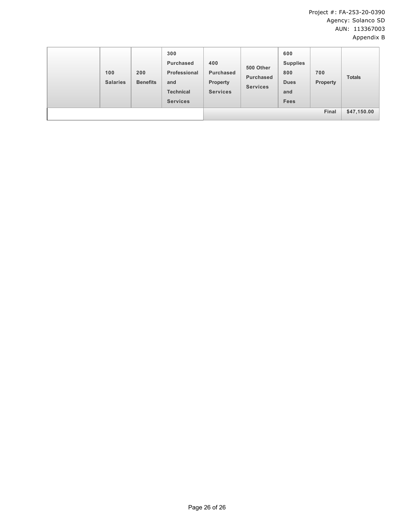|  | 100<br><b>Salaries</b> | 200<br><b>Benefits</b> | 300<br><b>Purchased</b><br>Professional<br>and<br><b>Technical</b><br><b>Services</b> | 400<br>Purchased<br><b>Property</b><br><b>Services</b> | 500 Other<br><b>Purchased</b><br><b>Services</b> | 600<br><b>Supplies</b><br>800<br><b>Dues</b><br>and<br>Fees | 700<br><b>Property</b> | <b>Totals</b> |
|--|------------------------|------------------------|---------------------------------------------------------------------------------------|--------------------------------------------------------|--------------------------------------------------|-------------------------------------------------------------|------------------------|---------------|
|  | Final                  |                        |                                                                                       |                                                        | \$47,150.00                                      |                                                             |                        |               |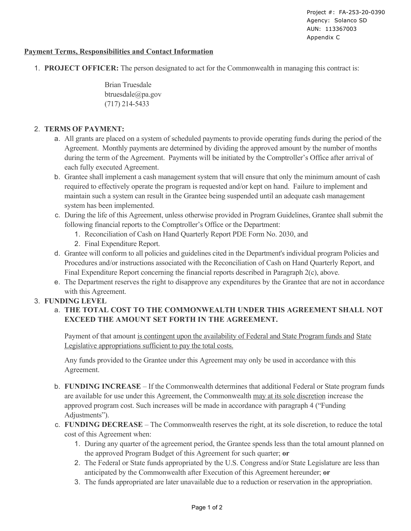Project #: FA-253-20-0390 Agency: Solanco SD AUN: 113367003 Appendix C

### **Payment Terms, Responsibilities and Contact Information**

1. **PROJECT OFFICER:** The person designated to act for the Commonwealth in managing this contract is:

Brian Truesdale btruesdale@pa.gov (717) 214-5433

# 2. **TERMS OF PAYMENT:**

- a. All grants are placed on a system of scheduled payments to provide operating funds during the period of the Agreement. Monthly payments are determined by dividing the approved amount by the number of months during the term of the Agreement. Payments will be initiated by the Comptroller's Office after arrival of each fully executed Agreement.
- b. Grantee shall implement a cash management system that will ensure that only the minimum amount of cash required to effectively operate the program is requested and/or kept on hand. Failure to implement and maintain such a system can result in the Grantee being suspended until an adequate cash management system has been implemented.
- c. During the life of this Agreement, unless otherwise provided in Program Guidelines, Grantee shall submit the following financial reports to the Comptroller's Office or the Department:
	- 1. Reconciliation of Cash on Hand Quarterly Report PDE Form No. 2030, and
	- 2. Final Expenditure Report.
- d. Grantee will conform to all policies and guidelines cited in the Department's individual program Policies and Procedures and/or instructions associated with the Reconciliation of Cash on Hand Quarterly Report, and Final Expenditure Report concerning the financial reports described in Paragraph 2(c), above.
- e. The Department reserves the right to disapprove any expenditures by the Grantee that are not in accordance with this Agreement.

# 3. **FUNDING LEVEL**

# a. **THE TOTAL COST TO THE COMMONWEALTH UNDER THIS AGREEMENT SHALL NOT EXCEED THE AMOUNT SET FORTH IN THE AGREEMENT.**

Payment of that amount is contingent upon the availability of Federal and State Program funds and State Legislative appropriations sufficient to pay the total costs.

Any funds provided to the Grantee under this Agreement may only be used in accordance with this Agreement.

- b. **FUNDING INCREASE**  If the Commonwealth determines that additional Federal or State program funds are available for use under this Agreement, the Commonwealth may at its sole discretion increase the approved program cost. Such increases will be made in accordance with paragraph 4 ("Funding Adjustments").
- c. **FUNDING DECREASE** The Commonwealth reserves the right, at its sole discretion, to reduce the total cost of this Agreement when:
	- 1. During any quarter of the agreement period, the Grantee spends less than the total amount planned on the approved Program Budget of this Agreement for such quarter; **or**
	- 2. The Federal or State funds appropriated by the U.S. Congress and/or State Legislature are less than anticipated by the Commonwealth after Execution of this Agreement hereunder; **or**
	- 3. The funds appropriated are later unavailable due to a reduction or reservation in the appropriation.